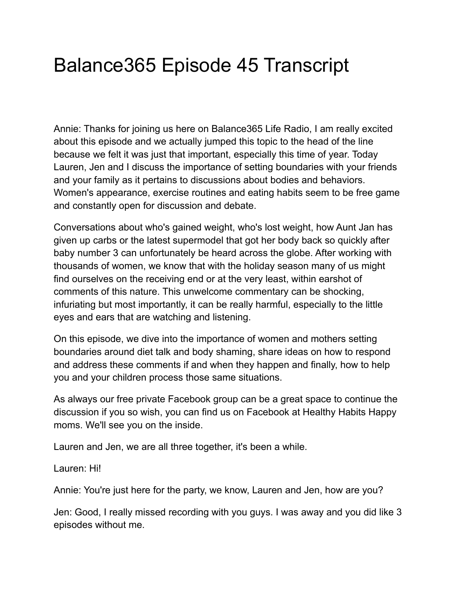# Balance365 Episode 45 Transcript

Annie: Thanks for joining us here on Balance365 Life Radio, I am really excited about this episode and we actually jumped this topic to the head of the line because we felt it was just that important, especially this time of year. Today Lauren, Jen and I discuss the importance of setting boundaries with your friends and your family as it pertains to discussions about bodies and behaviors. Women's appearance, exercise routines and eating habits seem to be free game and constantly open for discussion and debate.

Conversations about who's gained weight, who's lost weight, how Aunt Jan has given up carbs or the latest supermodel that got her body back so quickly after baby number 3 can unfortunately be heard across the globe. After working with thousands of women, we know that with the holiday season many of us might find ourselves on the receiving end or at the very least, within earshot of comments of this nature. This unwelcome commentary can be shocking, infuriating but most importantly, it can be really harmful, especially to the little eyes and ears that are watching and listening.

On this episode, we dive into the importance of women and mothers setting boundaries around diet talk and body shaming, share ideas on how to respond and address these comments if and when they happen and finally, how to help you and your children process those same situations.

As always our free private Facebook group can be a great space to continue the discussion if you so wish, you can find us on Facebook at Healthy Habits Happy moms. We'll see you on the inside.

Lauren and Jen, we are all three together, it's been a while.

Lauren: Hi!

Annie: You're just here for the party, we know, Lauren and Jen, how are you?

Jen: Good, I really missed recording with you guys. I was away and you did like 3 episodes without me.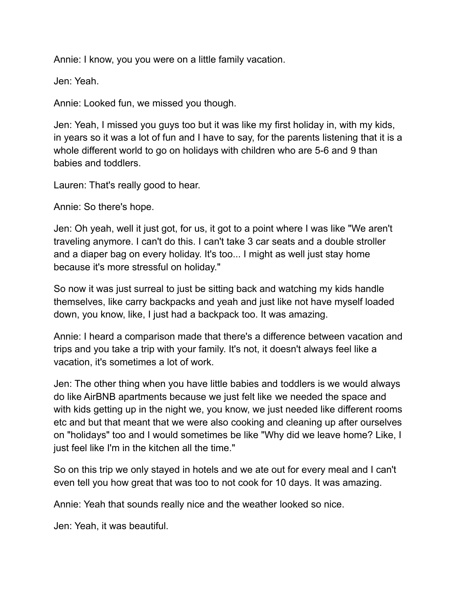Annie: I know, you you were on a little family vacation.

Jen: Yeah.

Annie: Looked fun, we missed you though.

Jen: Yeah, I missed you guys too but it was like my first holiday in, with my kids, in years so it was a lot of fun and I have to say, for the parents listening that it is a whole different world to go on holidays with children who are 5-6 and 9 than babies and toddlers.

Lauren: That's really good to hear.

Annie: So there's hope.

Jen: Oh yeah, well it just got, for us, it got to a point where I was like "We aren't traveling anymore. I can't do this. I can't take 3 car seats and a double stroller and a diaper bag on every holiday. It's too... I might as well just stay home because it's more stressful on holiday."

So now it was just surreal to just be sitting back and watching my kids handle themselves, like carry backpacks and yeah and just like not have myself loaded down, you know, like, I just had a backpack too. It was amazing.

Annie: I heard a comparison made that there's a difference between vacation and trips and you take a trip with your family. It's not, it doesn't always feel like a vacation, it's sometimes a lot of work.

Jen: The other thing when you have little babies and toddlers is we would always do like AirBNB apartments because we just felt like we needed the space and with kids getting up in the night we, you know, we just needed like different rooms etc and but that meant that we were also cooking and cleaning up after ourselves on "holidays" too and I would sometimes be like "Why did we leave home? Like, I just feel like I'm in the kitchen all the time."

So on this trip we only stayed in hotels and we ate out for every meal and I can't even tell you how great that was too to not cook for 10 days. It was amazing.

Annie: Yeah that sounds really nice and the weather looked so nice.

Jen: Yeah, it was beautiful.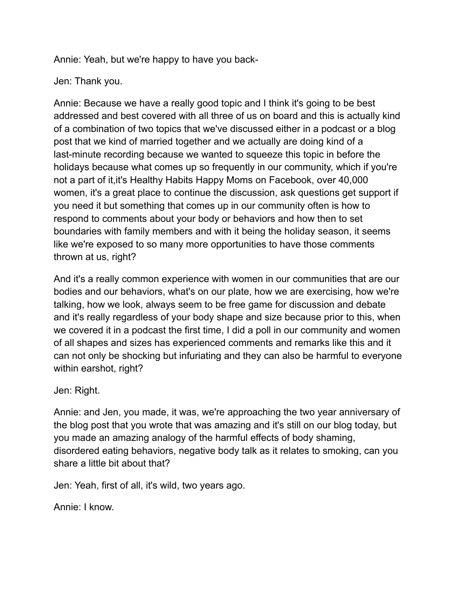Annie: Yeah, but we're happy to have you back-

## Jen: Thank you.

Annie: Because we have a really good topic and I think it's going to be best addressed and best covered with all three of us on board and this is actually kind of a combination of two topics that we've discussed either in a podcast or a blog post that we kind of married together and we actually are doing kind of a last-minute recording because we wanted to squeeze this topic in before the holidays because what comes up so frequently in our community, which if you're not a part of it,it's Healthy Habits Happy Moms on Facebook, over 40,000 women, it's a great place to continue the discussion, ask questions get support if you need it but something that comes up in our community often is how to respond to comments about your body or behaviors and how then to set boundaries with family members and with it being the holiday season, it seems like we're exposed to so many more opportunities to have those comments thrown at us, right?

And it's a really common experience with women in our communities that are our bodies and our behaviors, what's on our plate, how we are exercising, how we're talking, how we look, always seem to be free game for discussion and debate and it's really regardless of your body shape and size because prior to this, when we covered it in a podcast the first time, I did a poll in our community and women of all shapes and sizes has experienced comments and remarks like this and it can not only be shocking but infuriating and they can also be harmful to everyone within earshot, right?

## Jen: Right.

Annie: and Jen, you made, it was, we're approaching the two year anniversary of the blog post that you wrote that was amazing and it's still on our blog today, but you made an amazing analogy of the harmful effects of body shaming, disordered eating behaviors, negative body talk as it relates to smoking, can you share a little bit about that?

Jen: Yeah, first of all, it's wild, two years ago.

Annie: I know.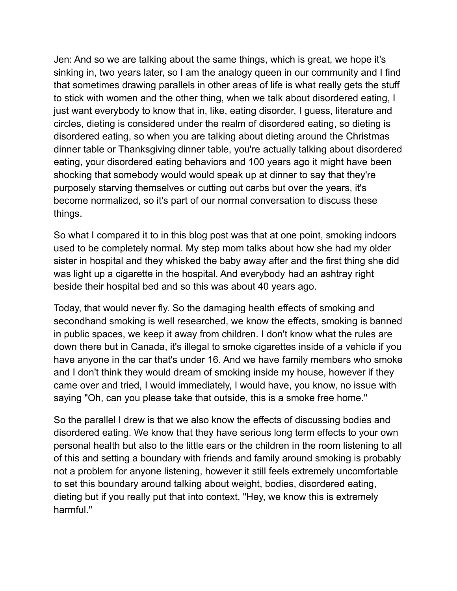Jen: And so we are talking about the same things, which is great, we hope it's sinking in, two years later, so I am the analogy queen in our community and I find that sometimes drawing parallels in other areas of life is what really gets the stuff to stick with women and the other thing, when we talk about disordered eating, I just want everybody to know that in, like, eating disorder, I guess, literature and circles, dieting is considered under the realm of disordered eating, so dieting is disordered eating, so when you are talking about dieting around the Christmas dinner table or Thanksgiving dinner table, you're actually talking about disordered eating, your disordered eating behaviors and 100 years ago it might have been shocking that somebody would would speak up at dinner to say that they're purposely starving themselves or cutting out carbs but over the years, it's become normalized, so it's part of our normal conversation to discuss these things.

So what I compared it to in this blog post was that at one point, smoking indoors used to be completely normal. My step mom talks about how she had my older sister in hospital and they whisked the baby away after and the first thing she did was light up a cigarette in the hospital. And everybody had an ashtray right beside their hospital bed and so this was about 40 years ago.

Today, that would never fly. So the damaging health effects of smoking and secondhand smoking is well researched, we know the effects, smoking is banned in public spaces, we keep it away from children. I don't know what the rules are down there but in Canada, it's illegal to smoke cigarettes inside of a vehicle if you have anyone in the car that's under 16. And we have family members who smoke and I don't think they would dream of smoking inside my house, however if they came over and tried, I would immediately, I would have, you know, no issue with saying "Oh, can you please take that outside, this is a smoke free home."

So the parallel I drew is that we also know the effects of discussing bodies and disordered eating. We know that they have serious long term effects to your own personal health but also to the little ears or the children in the room listening to all of this and setting a boundary with friends and family around smoking is probably not a problem for anyone listening, however it still feels extremely uncomfortable to set this boundary around talking about weight, bodies, disordered eating, dieting but if you really put that into context, "Hey, we know this is extremely harmful."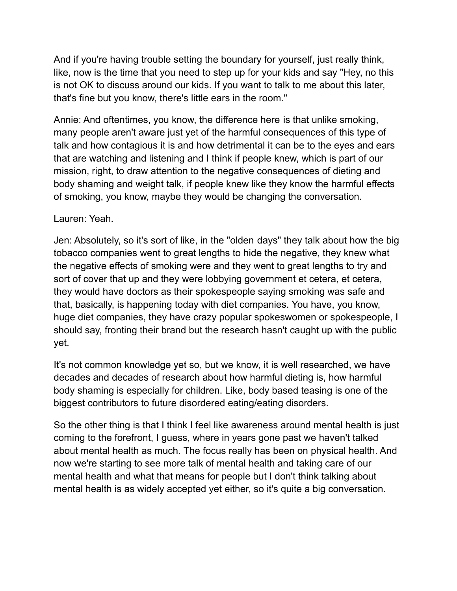And if you're having trouble setting the boundary for yourself, just really think, like, now is the time that you need to step up for your kids and say "Hey, no this is not OK to discuss around our kids. If you want to talk to me about this later, that's fine but you know, there's little ears in the room."

Annie: And oftentimes, you know, the difference here is that unlike smoking, many people aren't aware just yet of the harmful consequences of this type of talk and how contagious it is and how detrimental it can be to the eyes and ears that are watching and listening and I think if people knew, which is part of our mission, right, to draw attention to the negative consequences of dieting and body shaming and weight talk, if people knew like they know the harmful effects of smoking, you know, maybe they would be changing the conversation.

Lauren: Yeah.

Jen: Absolutely, so it's sort of like, in the "olden days" they talk about how the big tobacco companies went to great lengths to hide the negative, they knew what the negative effects of smoking were and they went to great lengths to try and sort of cover that up and they were lobbying government et cetera, et cetera, they would have doctors as their spokespeople saying smoking was safe and that, basically, is happening today with diet companies. You have, you know, huge diet companies, they have crazy popular spokeswomen or spokespeople, I should say, fronting their brand but the research hasn't caught up with the public yet.

It's not common knowledge yet so, but we know, it is well researched, we have decades and decades of research about how harmful dieting is, how harmful body shaming is especially for children. Like, body based teasing is one of the biggest contributors to future disordered eating/eating disorders.

So the other thing is that I think I feel like awareness around mental health is just coming to the forefront, I guess, where in years gone past we haven't talked about mental health as much. The focus really has been on physical health. And now we're starting to see more talk of mental health and taking care of our mental health and what that means for people but I don't think talking about mental health is as widely accepted yet either, so it's quite a big conversation.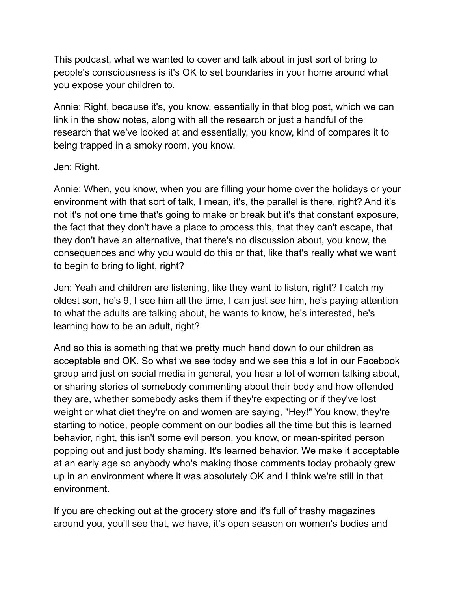This podcast, what we wanted to cover and talk about in just sort of bring to people's consciousness is it's OK to set boundaries in your home around what you expose your children to.

Annie: Right, because it's, you know, essentially in that blog post, which we can link in the show notes, along with all the research or just a handful of the research that we've looked at and essentially, you know, kind of compares it to being trapped in a smoky room, you know.

## Jen: Right.

Annie: When, you know, when you are filling your home over the holidays or your environment with that sort of talk, I mean, it's, the parallel is there, right? And it's not it's not one time that's going to make or break but it's that constant exposure, the fact that they don't have a place to process this, that they can't escape, that they don't have an alternative, that there's no discussion about, you know, the consequences and why you would do this or that, like that's really what we want to begin to bring to light, right?

Jen: Yeah and children are listening, like they want to listen, right? I catch my oldest son, he's 9, I see him all the time, I can just see him, he's paying attention to what the adults are talking about, he wants to know, he's interested, he's learning how to be an adult, right?

And so this is something that we pretty much hand down to our children as acceptable and OK. So what we see today and we see this a lot in our Facebook group and just on social media in general, you hear a lot of women talking about, or sharing stories of somebody commenting about their body and how offended they are, whether somebody asks them if they're expecting or if they've lost weight or what diet they're on and women are saying, "Hey!" You know, they're starting to notice, people comment on our bodies all the time but this is learned behavior, right, this isn't some evil person, you know, or mean-spirited person popping out and just body shaming. It's learned behavior. We make it acceptable at an early age so anybody who's making those comments today probably grew up in an environment where it was absolutely OK and I think we're still in that environment.

If you are checking out at the grocery store and it's full of trashy magazines around you, you'll see that, we have, it's open season on women's bodies and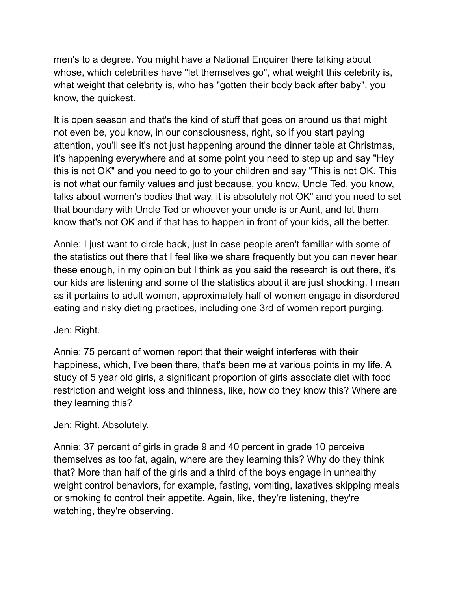men's to a degree. You might have a National Enquirer there talking about whose, which celebrities have "let themselves go", what weight this celebrity is, what weight that celebrity is, who has "gotten their body back after baby", you know, the quickest.

It is open season and that's the kind of stuff that goes on around us that might not even be, you know, in our consciousness, right, so if you start paying attention, you'll see it's not just happening around the dinner table at Christmas, it's happening everywhere and at some point you need to step up and say "Hey this is not OK" and you need to go to your children and say "This is not OK. This is not what our family values and just because, you know, Uncle Ted, you know, talks about women's bodies that way, it is absolutely not OK" and you need to set that boundary with Uncle Ted or whoever your uncle is or Aunt, and let them know that's not OK and if that has to happen in front of your kids, all the better.

Annie: I just want to circle back, just in case people aren't familiar with some of the statistics out there that I feel like we share frequently but you can never hear these enough, in my opinion but I think as you said the research is out there, it's our kids are listening and some of the statistics about it are just shocking, I mean as it pertains to adult women, approximately half of women engage in disordered eating and risky dieting practices, including one 3rd of women report purging.

## Jen: Right.

Annie: 75 percent of women report that their weight interferes with their happiness, which, I've been there, that's been me at various points in my life. A study of 5 year old girls, a significant proportion of girls associate diet with food restriction and weight loss and thinness, like, how do they know this? Where are they learning this?

# Jen: Right. Absolutely.

Annie: 37 percent of girls in grade 9 and 40 percent in grade 10 perceive themselves as too fat, again, where are they learning this? Why do they think that? More than half of the girls and a third of the boys engage in unhealthy weight control behaviors, for example, fasting, vomiting, laxatives skipping meals or smoking to control their appetite. Again, like, they're listening, they're watching, they're observing.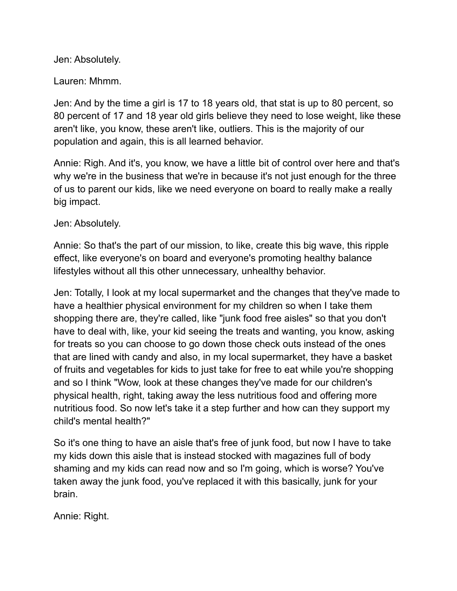Jen: Absolutely.

Lauren: Mhmm.

Jen: And by the time a girl is 17 to 18 years old, that stat is up to 80 percent, so 80 percent of 17 and 18 year old girls believe they need to lose weight, like these aren't like, you know, these aren't like, outliers. This is the majority of our population and again, this is all learned behavior.

Annie: Righ. And it's, you know, we have a little bit of control over here and that's why we're in the business that we're in because it's not just enough for the three of us to parent our kids, like we need everyone on board to really make a really big impact.

Jen: Absolutely.

Annie: So that's the part of our mission, to like, create this big wave, this ripple effect, like everyone's on board and everyone's promoting healthy balance lifestyles without all this other unnecessary, unhealthy behavior.

Jen: Totally, I look at my local supermarket and the changes that they've made to have a healthier physical environment for my children so when I take them shopping there are, they're called, like "junk food free aisles" so that you don't have to deal with, like, your kid seeing the treats and wanting, you know, asking for treats so you can choose to go down those check outs instead of the ones that are lined with candy and also, in my local supermarket, they have a basket of fruits and vegetables for kids to just take for free to eat while you're shopping and so I think "Wow, look at these changes they've made for our children's physical health, right, taking away the less nutritious food and offering more nutritious food. So now let's take it a step further and how can they support my child's mental health?"

So it's one thing to have an aisle that's free of junk food, but now I have to take my kids down this aisle that is instead stocked with magazines full of body shaming and my kids can read now and so I'm going, which is worse? You've taken away the junk food, you've replaced it with this basically, junk for your brain.

Annie: Right.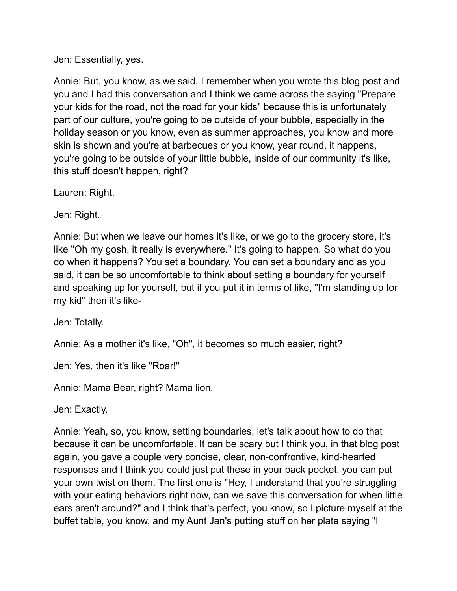#### Jen: Essentially, yes.

Annie: But, you know, as we said, I remember when you wrote this blog post and you and I had this conversation and I think we came across the saying "Prepare your kids for the road, not the road for your kids" because this is unfortunately part of our culture, you're going to be outside of your bubble, especially in the holiday season or you know, even as summer approaches, you know and more skin is shown and you're at barbecues or you know, year round, it happens, you're going to be outside of your little bubble, inside of our community it's like, this stuff doesn't happen, right?

Lauren: Right.

Jen: Right.

Annie: But when we leave our homes it's like, or we go to the grocery store, it's like "Oh my gosh, it really is everywhere." It's going to happen. So what do you do when it happens? You set a boundary. You can set a boundary and as you said, it can be so uncomfortable to think about setting a boundary for yourself and speaking up for yourself, but if you put it in terms of like, "I'm standing up for my kid" then it's like-

Jen: Totally.

Annie: As a mother it's like, "Oh", it becomes so much easier, right?

Jen: Yes, then it's like "Roar!"

Annie: Mama Bear, right? Mama lion.

Jen: Exactly.

Annie: Yeah, so, you know, setting boundaries, let's talk about how to do that because it can be uncomfortable. It can be scary but I think you, in that blog post again, you gave a couple very concise, clear, non-confrontive, kind-hearted responses and I think you could just put these in your back pocket, you can put your own twist on them. The first one is "Hey, I understand that you're struggling with your eating behaviors right now, can we save this conversation for when little ears aren't around?" and I think that's perfect, you know, so I picture myself at the buffet table, you know, and my Aunt Jan's putting stuff on her plate saying "I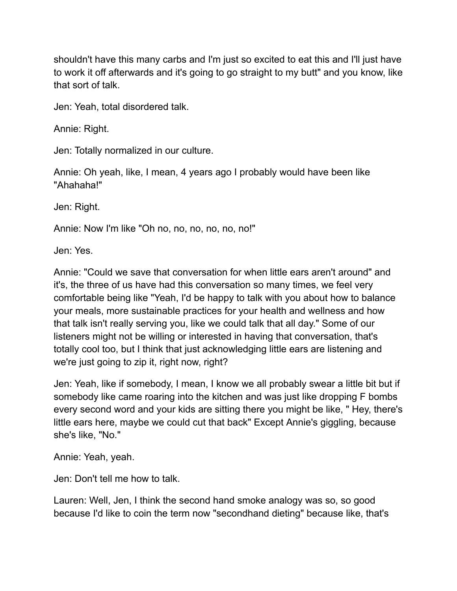shouldn't have this many carbs and I'm just so excited to eat this and I'll just have to work it off afterwards and it's going to go straight to my butt" and you know, like that sort of talk.

Jen: Yeah, total disordered talk.

Annie: Right.

Jen: Totally normalized in our culture.

Annie: Oh yeah, like, I mean, 4 years ago I probably would have been like "Ahahaha!"

Jen: Right.

Annie: Now I'm like "Oh no, no, no, no, no, no!"

Jen: Yes.

Annie: "Could we save that conversation for when little ears aren't around" and it's, the three of us have had this conversation so many times, we feel very comfortable being like "Yeah, I'd be happy to talk with you about how to balance your meals, more sustainable practices for your health and wellness and how that talk isn't really serving you, like we could talk that all day." Some of our listeners might not be willing or interested in having that conversation, that's totally cool too, but I think that just acknowledging little ears are listening and we're just going to zip it, right now, right?

Jen: Yeah, like if somebody, I mean, I know we all probably swear a little bit but if somebody like came roaring into the kitchen and was just like dropping F bombs every second word and your kids are sitting there you might be like, " Hey, there's little ears here, maybe we could cut that back" Except Annie's giggling, because she's like, "No."

Annie: Yeah, yeah.

Jen: Don't tell me how to talk.

Lauren: Well, Jen, I think the second hand smoke analogy was so, so good because I'd like to coin the term now "secondhand dieting" because like, that's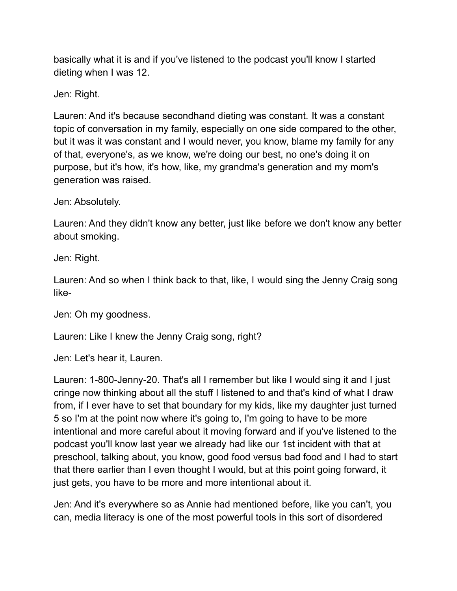basically what it is and if you've listened to the podcast you'll know I started dieting when I was 12.

Jen: Right.

Lauren: And it's because secondhand dieting was constant. It was a constant topic of conversation in my family, especially on one side compared to the other, but it was it was constant and I would never, you know, blame my family for any of that, everyone's, as we know, we're doing our best, no one's doing it on purpose, but it's how, it's how, like, my grandma's generation and my mom's generation was raised.

Jen: Absolutely.

Lauren: And they didn't know any better, just like before we don't know any better about smoking.

Jen: Right.

Lauren: And so when I think back to that, like, I would sing the Jenny Craig song like-

Jen: Oh my goodness.

Lauren: Like I knew the Jenny Craig song, right?

Jen: Let's hear it, Lauren.

Lauren: 1-800-Jenny-20. That's all I remember but like I would sing it and I just cringe now thinking about all the stuff I listened to and that's kind of what I draw from, if I ever have to set that boundary for my kids, like my daughter just turned 5 so I'm at the point now where it's going to, I'm going to have to be more intentional and more careful about it moving forward and if you've listened to the podcast you'll know last year we already had like our 1st incident with that at preschool, talking about, you know, good food versus bad food and I had to start that there earlier than I even thought I would, but at this point going forward, it just gets, you have to be more and more intentional about it.

Jen: And it's everywhere so as Annie had mentioned before, like you can't, you can, media literacy is one of the most powerful tools in this sort of disordered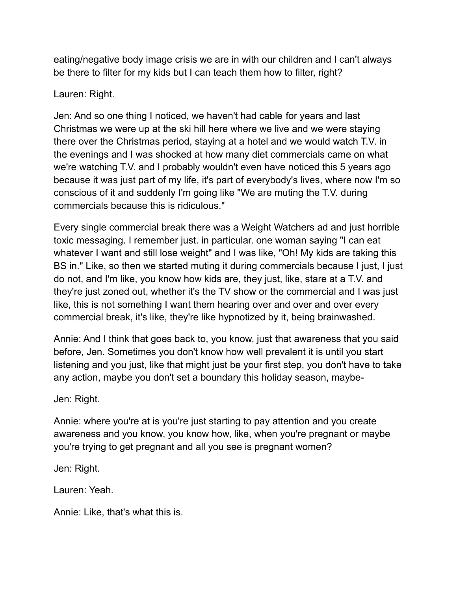eating/negative body image crisis we are in with our children and I can't always be there to filter for my kids but I can teach them how to filter, right?

## Lauren: Right.

Jen: And so one thing I noticed, we haven't had cable for years and last Christmas we were up at the ski hill here where we live and we were staying there over the Christmas period, staying at a hotel and we would watch T.V. in the evenings and I was shocked at how many diet commercials came on what we're watching T.V. and I probably wouldn't even have noticed this 5 years ago because it was just part of my life, it's part of everybody's lives, where now I'm so conscious of it and suddenly I'm going like "We are muting the T.V. during commercials because this is ridiculous."

Every single commercial break there was a Weight Watchers ad and just horrible toxic messaging. I remember just. in particular. one woman saying "I can eat whatever I want and still lose weight" and I was like, "Oh! My kids are taking this BS in." Like, so then we started muting it during commercials because I just, I just do not, and I'm like, you know how kids are, they just, like, stare at a T.V. and they're just zoned out, whether it's the TV show or the commercial and I was just like, this is not something I want them hearing over and over and over every commercial break, it's like, they're like hypnotized by it, being brainwashed.

Annie: And I think that goes back to, you know, just that awareness that you said before, Jen. Sometimes you don't know how well prevalent it is until you start listening and you just, like that might just be your first step, you don't have to take any action, maybe you don't set a boundary this holiday season, maybe-

Jen: Right.

Annie: where you're at is you're just starting to pay attention and you create awareness and you know, you know how, like, when you're pregnant or maybe you're trying to get pregnant and all you see is pregnant women?

Jen: Right.

Lauren: Yeah.

Annie: Like, that's what this is.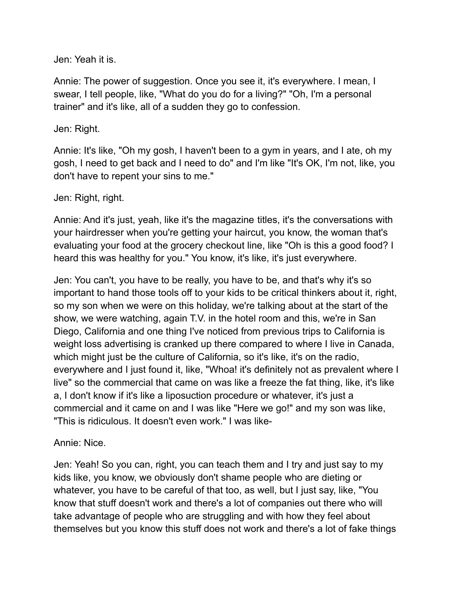Jen: Yeah it is.

Annie: The power of suggestion. Once you see it, it's everywhere. I mean, I swear, I tell people, like, "What do you do for a living?" "Oh, I'm a personal trainer" and it's like, all of a sudden they go to confession.

## Jen: Right.

Annie: It's like, "Oh my gosh, I haven't been to a gym in years, and I ate, oh my gosh, I need to get back and I need to do" and I'm like "It's OK, I'm not, like, you don't have to repent your sins to me."

## Jen: Right, right.

Annie: And it's just, yeah, like it's the magazine titles, it's the conversations with your hairdresser when you're getting your haircut, you know, the woman that's evaluating your food at the grocery checkout line, like "Oh is this a good food? I heard this was healthy for you." You know, it's like, it's just everywhere.

Jen: You can't, you have to be really, you have to be, and that's why it's so important to hand those tools off to your kids to be critical thinkers about it, right, so my son when we were on this holiday, we're talking about at the start of the show, we were watching, again T.V. in the hotel room and this, we're in San Diego, California and one thing I've noticed from previous trips to California is weight loss advertising is cranked up there compared to where I live in Canada, which might just be the culture of California, so it's like, it's on the radio, everywhere and I just found it, like, "Whoa! it's definitely not as prevalent where I live" so the commercial that came on was like a freeze the fat thing, like, it's like a, I don't know if it's like a liposuction procedure or whatever, it's just a commercial and it came on and I was like "Here we go!" and my son was like, "This is ridiculous. It doesn't even work." I was like-

# Annie: Nice.

Jen: Yeah! So you can, right, you can teach them and I try and just say to my kids like, you know, we obviously don't shame people who are dieting or whatever, you have to be careful of that too, as well, but I just say, like, "You know that stuff doesn't work and there's a lot of companies out there who will take advantage of people who are struggling and with how they feel about themselves but you know this stuff does not work and there's a lot of fake things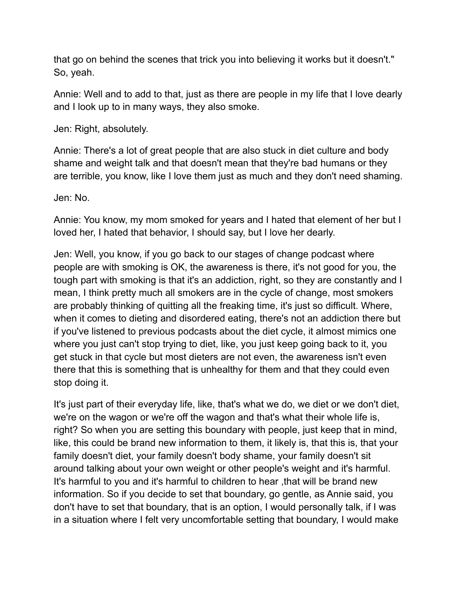that go on behind the scenes that trick you into believing it works but it doesn't." So, yeah.

Annie: Well and to add to that, just as there are people in my life that I love dearly and I look up to in many ways, they also smoke.

Jen: Right, absolutely.

Annie: There's a lot of great people that are also stuck in diet culture and body shame and weight talk and that doesn't mean that they're bad humans or they are terrible, you know, like I love them just as much and they don't need shaming.

Jen: No.

Annie: You know, my mom smoked for years and I hated that element of her but I loved her, I hated that behavior, I should say, but I love her dearly.

Jen: Well, you know, if you go back to our stages of change podcast where people are with smoking is OK, the awareness is there, it's not good for you, the tough part with smoking is that it's an addiction, right, so they are constantly and I mean, I think pretty much all smokers are in the cycle of change, most smokers are probably thinking of quitting all the freaking time, it's just so difficult. Where, when it comes to dieting and disordered eating, there's not an addiction there but if you've listened to previous podcasts about the diet cycle, it almost mimics one where you just can't stop trying to diet, like, you just keep going back to it, you get stuck in that cycle but most dieters are not even, the awareness isn't even there that this is something that is unhealthy for them and that they could even stop doing it.

It's just part of their everyday life, like, that's what we do, we diet or we don't diet, we're on the wagon or we're off the wagon and that's what their whole life is, right? So when you are setting this boundary with people, just keep that in mind, like, this could be brand new information to them, it likely is, that this is, that your family doesn't diet, your family doesn't body shame, your family doesn't sit around talking about your own weight or other people's weight and it's harmful. It's harmful to you and it's harmful to children to hear ,that will be brand new information. So if you decide to set that boundary, go gentle, as Annie said, you don't have to set that boundary, that is an option, I would personally talk, if I was in a situation where I felt very uncomfortable setting that boundary, I would make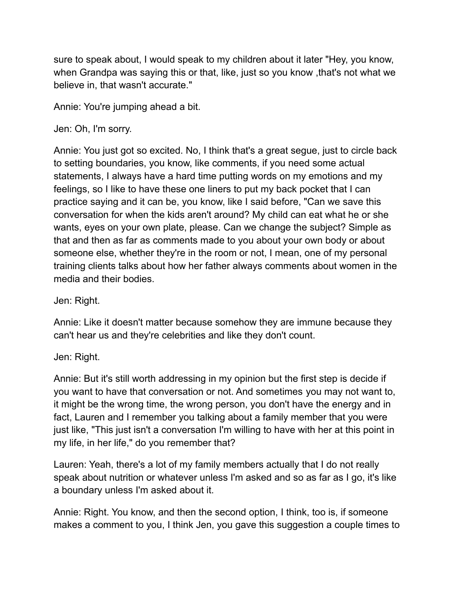sure to speak about, I would speak to my children about it later "Hey, you know, when Grandpa was saying this or that, like, just so you know ,that's not what we believe in, that wasn't accurate."

Annie: You're jumping ahead a bit.

Jen: Oh, I'm sorry.

Annie: You just got so excited. No, I think that's a great segue, just to circle back to setting boundaries, you know, like comments, if you need some actual statements, I always have a hard time putting words on my emotions and my feelings, so I like to have these one liners to put my back pocket that I can practice saying and it can be, you know, like I said before, "Can we save this conversation for when the kids aren't around? My child can eat what he or she wants, eyes on your own plate, please. Can we change the subject? Simple as that and then as far as comments made to you about your own body or about someone else, whether they're in the room or not, I mean, one of my personal training clients talks about how her father always comments about women in the media and their bodies.

Jen: Right.

Annie: Like it doesn't matter because somehow they are immune because they can't hear us and they're celebrities and like they don't count.

Jen: Right.

Annie: But it's still worth addressing in my opinion but the first step is decide if you want to have that conversation or not. And sometimes you may not want to, it might be the wrong time, the wrong person, you don't have the energy and in fact, Lauren and I remember you talking about a family member that you were just like, "This just isn't a conversation I'm willing to have with her at this point in my life, in her life," do you remember that?

Lauren: Yeah, there's a lot of my family members actually that I do not really speak about nutrition or whatever unless I'm asked and so as far as I go, it's like a boundary unless I'm asked about it.

Annie: Right. You know, and then the second option, I think, too is, if someone makes a comment to you, I think Jen, you gave this suggestion a couple times to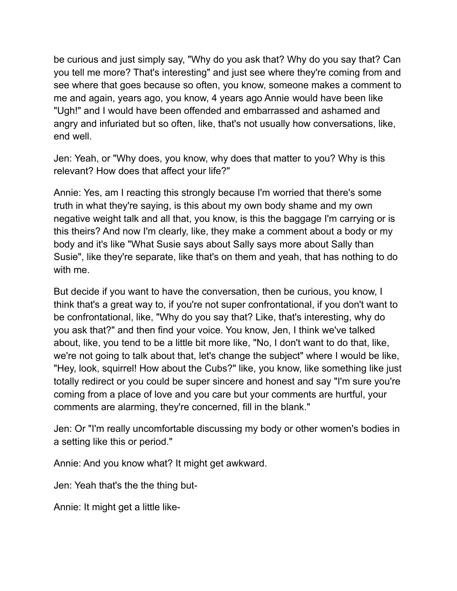be curious and just simply say, "Why do you ask that? Why do you say that? Can you tell me more? That's interesting" and just see where they're coming from and see where that goes because so often, you know, someone makes a comment to me and again, years ago, you know, 4 years ago Annie would have been like "Ugh!" and I would have been offended and embarrassed and ashamed and angry and infuriated but so often, like, that's not usually how conversations, like, end well.

Jen: Yeah, or "Why does, you know, why does that matter to you? Why is this relevant? How does that affect your life?"

Annie: Yes, am I reacting this strongly because I'm worried that there's some truth in what they're saying, is this about my own body shame and my own negative weight talk and all that, you know, is this the baggage I'm carrying or is this theirs? And now I'm clearly, like, they make a comment about a body or my body and it's like "What Susie says about Sally says more about Sally than Susie", like they're separate, like that's on them and yeah, that has nothing to do with me.

But decide if you want to have the conversation, then be curious, you know, I think that's a great way to, if you're not super confrontational, if you don't want to be confrontational, like, "Why do you say that? Like, that's interesting, why do you ask that?" and then find your voice. You know, Jen, I think we've talked about, like, you tend to be a little bit more like, "No, I don't want to do that, like, we're not going to talk about that, let's change the subject" where I would be like, "Hey, look, squirrel! How about the Cubs?" like, you know, like something like just totally redirect or you could be super sincere and honest and say "I'm sure you're coming from a place of love and you care but your comments are hurtful, your comments are alarming, they're concerned, fill in the blank."

Jen: Or "I'm really uncomfortable discussing my body or other women's bodies in a setting like this or period."

Annie: And you know what? It might get awkward.

Jen: Yeah that's the the thing but-

Annie: It might get a little like-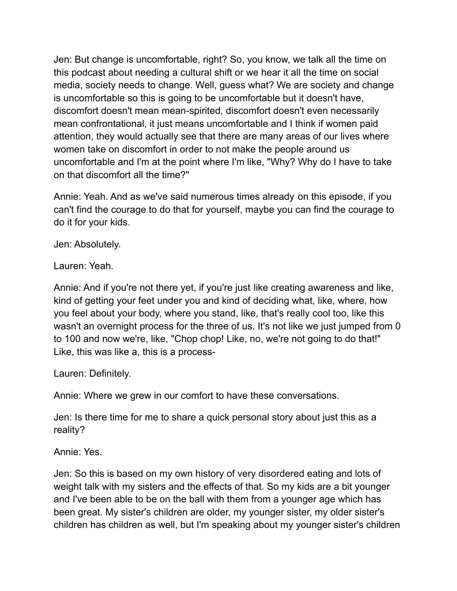Jen: But change is uncomfortable, right? So, you know, we talk all the time on this podcast about needing a cultural shift or we hear it all the time on social media, society needs to change. Well, guess what? We are society and change is uncomfortable so this is going to be uncomfortable but it doesn't have, discomfort doesn't mean mean-spirited, discomfort doesn't even necessarily mean confrontational, it just means uncomfortable and I think if women paid attention, they would actually see that there are many areas of our lives where women take on discomfort in order to not make the people around us uncomfortable and I'm at the point where I'm like, "Why? Why do I have to take on that discomfort all the time?"

Annie: Yeah. And as we've said numerous times already on this episode, if you can't find the courage to do that for yourself, maybe you can find the courage to do it for your kids.

Jen: Absolutely.

Lauren: Yeah.

Annie: And if you're not there yet, if you're just like creating awareness and like, kind of getting your feet under you and kind of deciding what, like, where, how you feel about your body, where you stand, like, that's really cool too, like this wasn't an overnight process for the three of us. It's not like we just jumped from 0 to 100 and now we're, like, "Chop chop! Like, no, we're not going to do that!" Like, this was like a, this is a process-

Lauren: Definitely.

Annie: Where we grew in our comfort to have these conversations.

Jen: Is there time for me to share a quick personal story about just this as a reality?

Annie: Yes.

Jen: So this is based on my own history of very disordered eating and lots of weight talk with my sisters and the effects of that. So my kids are a bit younger and I've been able to be on the ball with them from a younger age which has been great. My sister's children are older, my younger sister, my older sister's children has children as well, but I'm speaking about my younger sister's children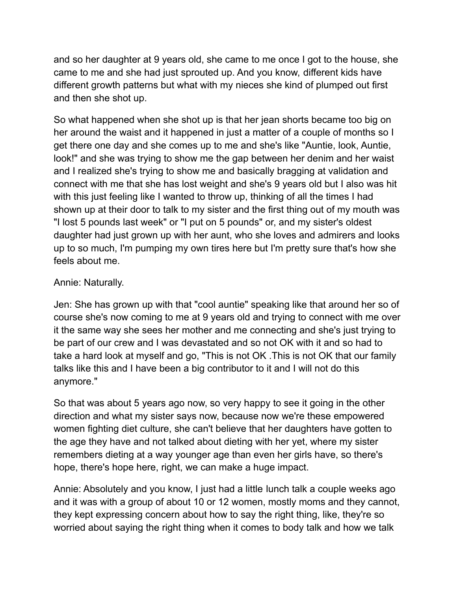and so her daughter at 9 years old, she came to me once I got to the house, she came to me and she had just sprouted up. And you know, different kids have different growth patterns but what with my nieces she kind of plumped out first and then she shot up.

So what happened when she shot up is that her jean shorts became too big on her around the waist and it happened in just a matter of a couple of months so I get there one day and she comes up to me and she's like "Auntie, look, Auntie, look!" and she was trying to show me the gap between her denim and her waist and I realized she's trying to show me and basically bragging at validation and connect with me that she has lost weight and she's 9 years old but I also was hit with this just feeling like I wanted to throw up, thinking of all the times I had shown up at their door to talk to my sister and the first thing out of my mouth was "I lost 5 pounds last week" or "I put on 5 pounds" or, and my sister's oldest daughter had just grown up with her aunt, who she loves and admirers and looks up to so much, I'm pumping my own tires here but I'm pretty sure that's how she feels about me.

## Annie: Naturally.

Jen: She has grown up with that "cool auntie" speaking like that around her so of course she's now coming to me at 9 years old and trying to connect with me over it the same way she sees her mother and me connecting and she's just trying to be part of our crew and I was devastated and so not OK with it and so had to take a hard look at myself and go, "This is not OK .This is not OK that our family talks like this and I have been a big contributor to it and I will not do this anymore."

So that was about 5 years ago now, so very happy to see it going in the other direction and what my sister says now, because now we're these empowered women fighting diet culture, she can't believe that her daughters have gotten to the age they have and not talked about dieting with her yet, where my sister remembers dieting at a way younger age than even her girls have, so there's hope, there's hope here, right, we can make a huge impact.

Annie: Absolutely and you know, I just had a little lunch talk a couple weeks ago and it was with a group of about 10 or 12 women, mostly moms and they cannot, they kept expressing concern about how to say the right thing, like, they're so worried about saying the right thing when it comes to body talk and how we talk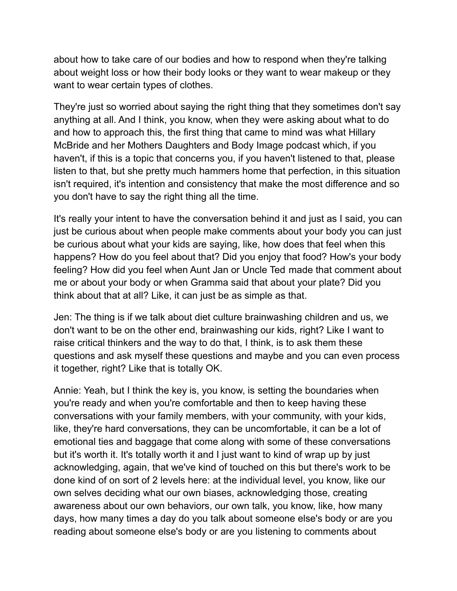about how to take care of our bodies and how to respond when they're talking about weight loss or how their body looks or they want to wear makeup or they want to wear certain types of clothes.

They're just so worried about saying the right thing that they sometimes don't say anything at all. And I think, you know, when they were asking about what to do and how to approach this, the first thing that came to mind was what Hillary McBride and her Mothers Daughters and Body Image podcast which, if you haven't, if this is a topic that concerns you, if you haven't listened to that, please listen to that, but she pretty much hammers home that perfection, in this situation isn't required, it's intention and consistency that make the most difference and so you don't have to say the right thing all the time.

It's really your intent to have the conversation behind it and just as I said, you can just be curious about when people make comments about your body you can just be curious about what your kids are saying, like, how does that feel when this happens? How do you feel about that? Did you enjoy that food? How's your body feeling? How did you feel when Aunt Jan or Uncle Ted made that comment about me or about your body or when Gramma said that about your plate? Did you think about that at all? Like, it can just be as simple as that.

Jen: The thing is if we talk about diet culture brainwashing children and us, we don't want to be on the other end, brainwashing our kids, right? Like I want to raise critical thinkers and the way to do that, I think, is to ask them these questions and ask myself these questions and maybe and you can even process it together, right? Like that is totally OK.

Annie: Yeah, but I think the key is, you know, is setting the boundaries when you're ready and when you're comfortable and then to keep having these conversations with your family members, with your community, with your kids, like, they're hard conversations, they can be uncomfortable, it can be a lot of emotional ties and baggage that come along with some of these conversations but it's worth it. It's totally worth it and I just want to kind of wrap up by just acknowledging, again, that we've kind of touched on this but there's work to be done kind of on sort of 2 levels here: at the individual level, you know, like our own selves deciding what our own biases, acknowledging those, creating awareness about our own behaviors, our own talk, you know, like, how many days, how many times a day do you talk about someone else's body or are you reading about someone else's body or are you listening to comments about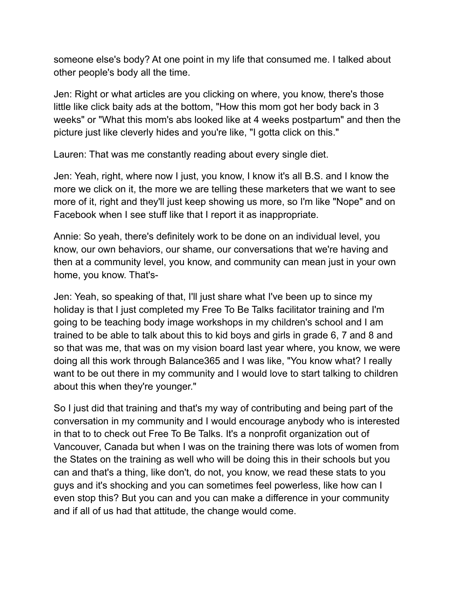someone else's body? At one point in my life that consumed me. I talked about other people's body all the time.

Jen: Right or what articles are you clicking on where, you know, there's those little like click baity ads at the bottom, "How this mom got her body back in 3 weeks" or "What this mom's abs looked like at 4 weeks postpartum" and then the picture just like cleverly hides and you're like, "I gotta click on this."

Lauren: That was me constantly reading about every single diet.

Jen: Yeah, right, where now I just, you know, I know it's all B.S. and I know the more we click on it, the more we are telling these marketers that we want to see more of it, right and they'll just keep showing us more, so I'm like "Nope" and on Facebook when I see stuff like that I report it as inappropriate.

Annie: So yeah, there's definitely work to be done on an individual level, you know, our own behaviors, our shame, our conversations that we're having and then at a community level, you know, and community can mean just in your own home, you know. That's-

Jen: Yeah, so speaking of that, I'll just share what I've been up to since my holiday is that I just completed my Free To Be Talks facilitator training and I'm going to be teaching body image workshops in my children's school and I am trained to be able to talk about this to kid boys and girls in grade 6, 7 and 8 and so that was me, that was on my vision board last year where, you know, we were doing all this work through Balance365 and I was like, "You know what? I really want to be out there in my community and I would love to start talking to children about this when they're younger."

So I just did that training and that's my way of contributing and being part of the conversation in my community and I would encourage anybody who is interested in that to to check out Free To Be Talks. It's a nonprofit organization out of Vancouver, Canada but when I was on the training there was lots of women from the States on the training as well who will be doing this in their schools but you can and that's a thing, like don't, do not, you know, we read these stats to you guys and it's shocking and you can sometimes feel powerless, like how can I even stop this? But you can and you can make a difference in your community and if all of us had that attitude, the change would come.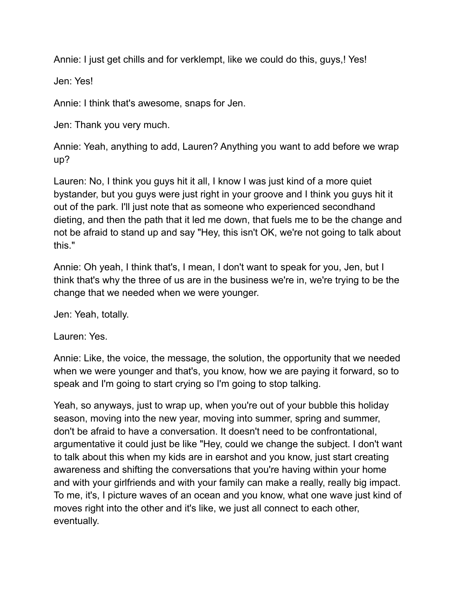Annie: I just get chills and for verklempt, like we could do this, guys,! Yes!

Jen: Yes!

Annie: I think that's awesome, snaps for Jen.

Jen: Thank you very much.

Annie: Yeah, anything to add, Lauren? Anything you want to add before we wrap up?

Lauren: No, I think you guys hit it all, I know I was just kind of a more quiet bystander, but you guys were just right in your groove and I think you guys hit it out of the park. I'll just note that as someone who experienced secondhand dieting, and then the path that it led me down, that fuels me to be the change and not be afraid to stand up and say "Hey, this isn't OK, we're not going to talk about this."

Annie: Oh yeah, I think that's, I mean, I don't want to speak for you, Jen, but I think that's why the three of us are in the business we're in, we're trying to be the change that we needed when we were younger.

Jen: Yeah, totally.

Lauren: Yes.

Annie: Like, the voice, the message, the solution, the opportunity that we needed when we were younger and that's, you know, how we are paying it forward, so to speak and I'm going to start crying so I'm going to stop talking.

Yeah, so anyways, just to wrap up, when you're out of your bubble this holiday season, moving into the new year, moving into summer, spring and summer, don't be afraid to have a conversation. It doesn't need to be confrontational, argumentative it could just be like "Hey, could we change the subject. I don't want to talk about this when my kids are in earshot and you know, just start creating awareness and shifting the conversations that you're having within your home and with your girlfriends and with your family can make a really, really big impact. To me, it's, I picture waves of an ocean and you know, what one wave just kind of moves right into the other and it's like, we just all connect to each other, eventually.